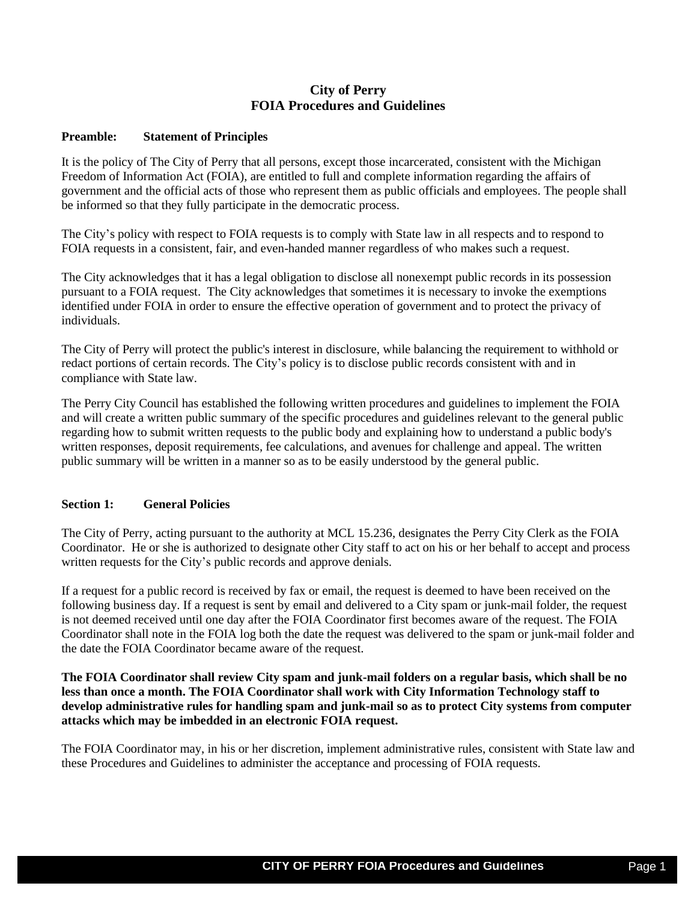# **City of Perry FOIA Procedures and Guidelines**

#### **Preamble: Statement of Principles**

It is the policy of The City of Perry that all persons, except those incarcerated, consistent with the Michigan Freedom of Information Act (FOIA), are entitled to full and complete information regarding the affairs of government and the official acts of those who represent them as public officials and employees. The people shall be informed so that they fully participate in the democratic process.

The City's policy with respect to FOIA requests is to comply with State law in all respects and to respond to FOIA requests in a consistent, fair, and even-handed manner regardless of who makes such a request.

The City acknowledges that it has a legal obligation to disclose all nonexempt public records in its possession pursuant to a FOIA request. The City acknowledges that sometimes it is necessary to invoke the exemptions identified under FOIA in order to ensure the effective operation of government and to protect the privacy of individuals.

The City of Perry will protect the public's interest in disclosure, while balancing the requirement to withhold or redact portions of certain records. The City's policy is to disclose public records consistent with and in compliance with State law.

The Perry City Council has established the following written procedures and guidelines to implement the FOIA and will create a written public summary of the specific procedures and guidelines relevant to the general public regarding how to submit written requests to the public body and explaining how to understand a public body's written responses, deposit requirements, fee calculations, and avenues for challenge and appeal. The written public summary will be written in a manner so as to be easily understood by the general public.

## **Section 1: General Policies**

The City of Perry, acting pursuant to the authority at MCL 15.236, designates the Perry City Clerk as the FOIA Coordinator. He or she is authorized to designate other City staff to act on his or her behalf to accept and process written requests for the City's public records and approve denials.

If a request for a public record is received by fax or email, the request is deemed to have been received on the following business day. If a request is sent by email and delivered to a City spam or junk-mail folder, the request is not deemed received until one day after the FOIA Coordinator first becomes aware of the request. The FOIA Coordinator shall note in the FOIA log both the date the request was delivered to the spam or junk-mail folder and the date the FOIA Coordinator became aware of the request.

## **The FOIA Coordinator shall review City spam and junk-mail folders on a regular basis, which shall be no less than once a month. The FOIA Coordinator shall work with City Information Technology staff to develop administrative rules for handling spam and junk-mail so as to protect City systems from computer attacks which may be imbedded in an electronic FOIA request.**

The FOIA Coordinator may, in his or her discretion, implement administrative rules, consistent with State law and these Procedures and Guidelines to administer the acceptance and processing of FOIA requests.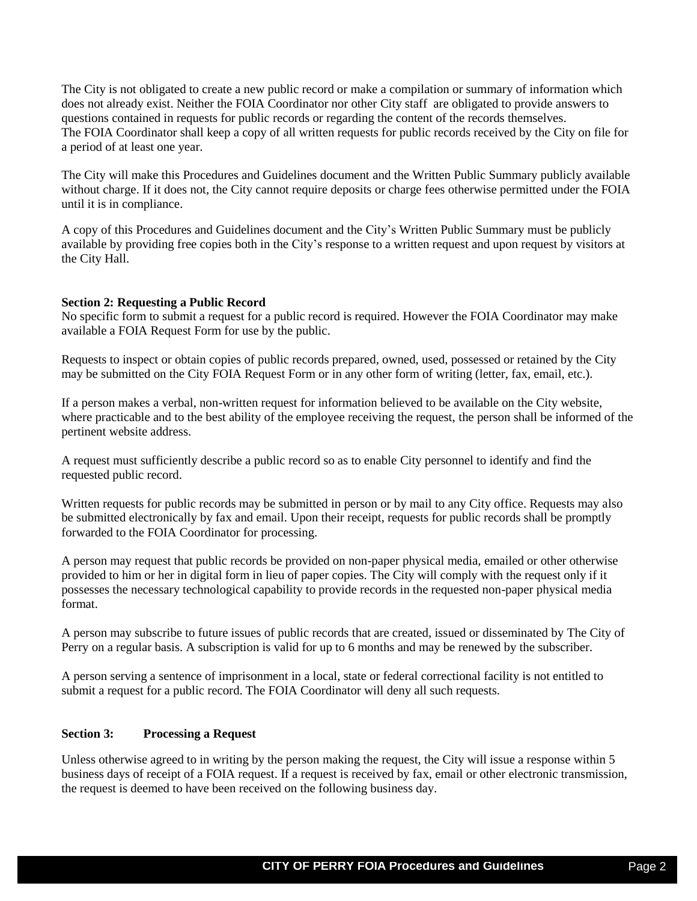The City is not obligated to create a new public record or make a compilation or summary of information which does not already exist. Neither the FOIA Coordinator nor other City staff are obligated to provide answers to questions contained in requests for public records or regarding the content of the records themselves. The FOIA Coordinator shall keep a copy of all written requests for public records received by the City on file for a period of at least one year.

The City will make this Procedures and Guidelines document and the Written Public Summary publicly available without charge. If it does not, the City cannot require deposits or charge fees otherwise permitted under the FOIA until it is in compliance.

A copy of this Procedures and Guidelines document and the City's Written Public Summary must be publicly available by providing free copies both in the City's response to a written request and upon request by visitors at the City Hall.

## **Section 2: Requesting a Public Record**

No specific form to submit a request for a public record is required. However the FOIA Coordinator may make available a FOIA Request Form for use by the public.

Requests to inspect or obtain copies of public records prepared, owned, used, possessed or retained by the City may be submitted on the City FOIA Request Form or in any other form of writing (letter, fax, email, etc.).

If a person makes a verbal, non-written request for information believed to be available on the City website, where practicable and to the best ability of the employee receiving the request, the person shall be informed of the pertinent website address.

A request must sufficiently describe a public record so as to enable City personnel to identify and find the requested public record.

Written requests for public records may be submitted in person or by mail to any City office. Requests may also be submitted electronically by fax and email. Upon their receipt, requests for public records shall be promptly forwarded to the FOIA Coordinator for processing.

A person may request that public records be provided on non-paper physical media, emailed or other otherwise provided to him or her in digital form in lieu of paper copies. The City will comply with the request only if it possesses the necessary technological capability to provide records in the requested non-paper physical media format.

A person may subscribe to future issues of public records that are created, issued or disseminated by The City of Perry on a regular basis. A subscription is valid for up to 6 months and may be renewed by the subscriber.

A person serving a sentence of imprisonment in a local, state or federal correctional facility is not entitled to submit a request for a public record. The FOIA Coordinator will deny all such requests.

## **Section 3: Processing a Request**

Unless otherwise agreed to in writing by the person making the request, the City will issue a response within 5 business days of receipt of a FOIA request. If a request is received by fax, email or other electronic transmission, the request is deemed to have been received on the following business day.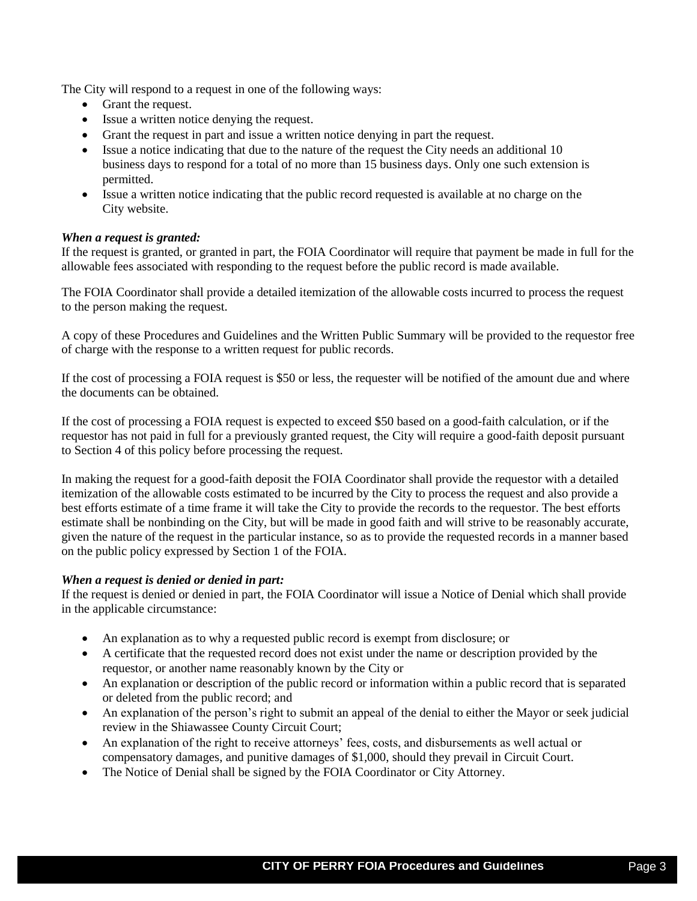The City will respond to a request in one of the following ways:

- Grant the request.
- Issue a written notice denying the request.
- Grant the request in part and issue a written notice denying in part the request.
- Issue a notice indicating that due to the nature of the request the City needs an additional 10 business days to respond for a total of no more than 15 business days. Only one such extension is permitted.
- Issue a written notice indicating that the public record requested is available at no charge on the City website.

## *When a request is granted:*

If the request is granted, or granted in part, the FOIA Coordinator will require that payment be made in full for the allowable fees associated with responding to the request before the public record is made available.

The FOIA Coordinator shall provide a detailed itemization of the allowable costs incurred to process the request to the person making the request.

A copy of these Procedures and Guidelines and the Written Public Summary will be provided to the requestor free of charge with the response to a written request for public records.

If the cost of processing a FOIA request is \$50 or less, the requester will be notified of the amount due and where the documents can be obtained.

If the cost of processing a FOIA request is expected to exceed \$50 based on a good-faith calculation, or if the requestor has not paid in full for a previously granted request, the City will require a good-faith deposit pursuant to Section 4 of this policy before processing the request.

In making the request for a good-faith deposit the FOIA Coordinator shall provide the requestor with a detailed itemization of the allowable costs estimated to be incurred by the City to process the request and also provide a best efforts estimate of a time frame it will take the City to provide the records to the requestor. The best efforts estimate shall be nonbinding on the City, but will be made in good faith and will strive to be reasonably accurate, given the nature of the request in the particular instance, so as to provide the requested records in a manner based on the public policy expressed by Section 1 of the FOIA.

## *When a request is denied or denied in part:*

If the request is denied or denied in part, the FOIA Coordinator will issue a Notice of Denial which shall provide in the applicable circumstance:

- An explanation as to why a requested public record is exempt from disclosure; or
- A certificate that the requested record does not exist under the name or description provided by the requestor, or another name reasonably known by the City or
- An explanation or description of the public record or information within a public record that is separated or deleted from the public record; and
- An explanation of the person's right to submit an appeal of the denial to either the Mayor or seek judicial review in the Shiawassee County Circuit Court;
- An explanation of the right to receive attorneys' fees, costs, and disbursements as well actual or compensatory damages, and punitive damages of \$1,000, should they prevail in Circuit Court.
- The Notice of Denial shall be signed by the FOIA Coordinator or City Attorney.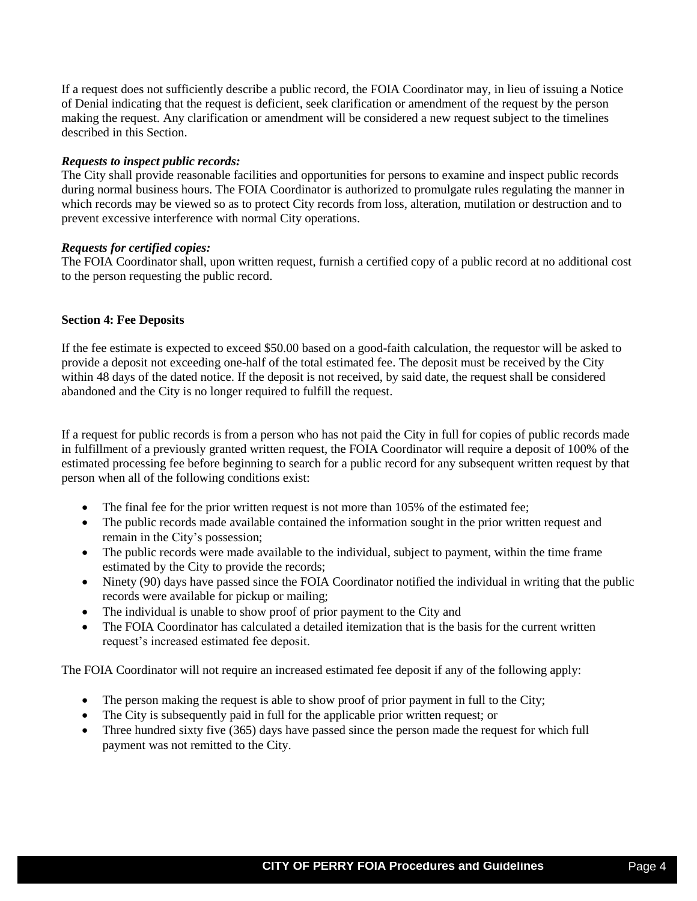If a request does not sufficiently describe a public record, the FOIA Coordinator may, in lieu of issuing a Notice of Denial indicating that the request is deficient, seek clarification or amendment of the request by the person making the request. Any clarification or amendment will be considered a new request subject to the timelines described in this Section.

#### *Requests to inspect public records:*

The City shall provide reasonable facilities and opportunities for persons to examine and inspect public records during normal business hours. The FOIA Coordinator is authorized to promulgate rules regulating the manner in which records may be viewed so as to protect City records from loss, alteration, mutilation or destruction and to prevent excessive interference with normal City operations.

#### *Requests for certified copies:*

The FOIA Coordinator shall, upon written request, furnish a certified copy of a public record at no additional cost to the person requesting the public record.

#### **Section 4: Fee Deposits**

If the fee estimate is expected to exceed \$50.00 based on a good-faith calculation, the requestor will be asked to provide a deposit not exceeding one-half of the total estimated fee. The deposit must be received by the City within 48 days of the dated notice. If the deposit is not received, by said date, the request shall be considered abandoned and the City is no longer required to fulfill the request.

If a request for public records is from a person who has not paid the City in full for copies of public records made in fulfillment of a previously granted written request, the FOIA Coordinator will require a deposit of 100% of the estimated processing fee before beginning to search for a public record for any subsequent written request by that person when all of the following conditions exist:

- The final fee for the prior written request is not more than 105% of the estimated fee;
- The public records made available contained the information sought in the prior written request and remain in the City's possession;
- The public records were made available to the individual, subject to payment, within the time frame estimated by the City to provide the records;
- Ninety (90) days have passed since the FOIA Coordinator notified the individual in writing that the public records were available for pickup or mailing;
- The individual is unable to show proof of prior payment to the City and
- The FOIA Coordinator has calculated a detailed itemization that is the basis for the current written request's increased estimated fee deposit.

The FOIA Coordinator will not require an increased estimated fee deposit if any of the following apply:

- The person making the request is able to show proof of prior payment in full to the City;
- The City is subsequently paid in full for the applicable prior written request; or
- Three hundred sixty five (365) days have passed since the person made the request for which full payment was not remitted to the City.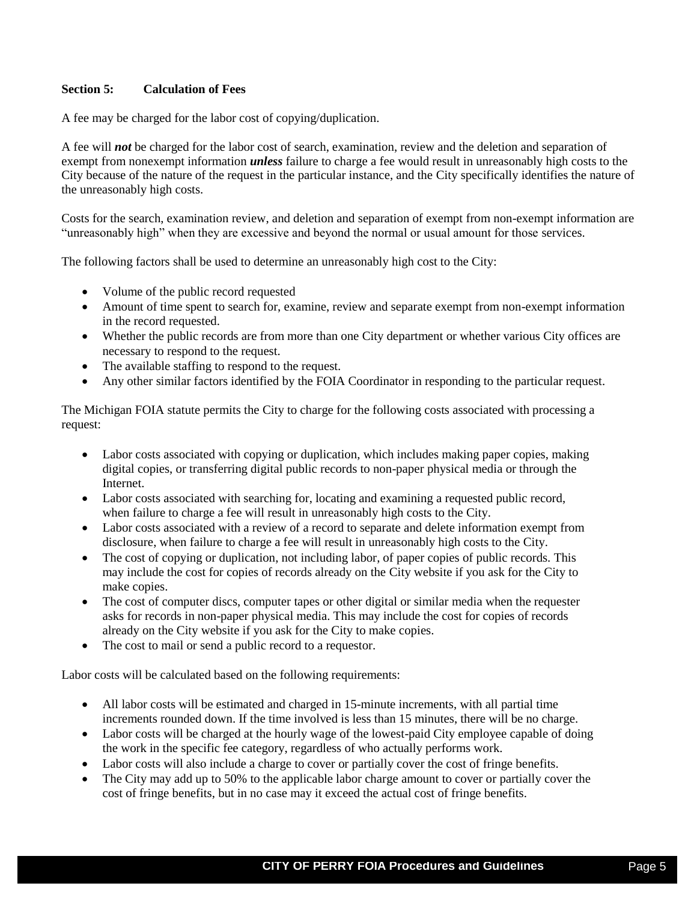## **Section 5: Calculation of Fees**

A fee may be charged for the labor cost of copying/duplication.

A fee will *not* be charged for the labor cost of search, examination, review and the deletion and separation of exempt from nonexempt information *unless* failure to charge a fee would result in unreasonably high costs to the City because of the nature of the request in the particular instance, and the City specifically identifies the nature of the unreasonably high costs.

Costs for the search, examination review, and deletion and separation of exempt from non-exempt information are "unreasonably high" when they are excessive and beyond the normal or usual amount for those services.

The following factors shall be used to determine an unreasonably high cost to the City:

- Volume of the public record requested
- Amount of time spent to search for, examine, review and separate exempt from non-exempt information in the record requested.
- Whether the public records are from more than one City department or whether various City offices are necessary to respond to the request.
- The available staffing to respond to the request.
- Any other similar factors identified by the FOIA Coordinator in responding to the particular request.

The Michigan FOIA statute permits the City to charge for the following costs associated with processing a request:

- Labor costs associated with copying or duplication, which includes making paper copies, making digital copies, or transferring digital public records to non-paper physical media or through the Internet.
- Labor costs associated with searching for, locating and examining a requested public record, when failure to charge a fee will result in unreasonably high costs to the City.
- Labor costs associated with a review of a record to separate and delete information exempt from disclosure, when failure to charge a fee will result in unreasonably high costs to the City.
- The cost of copying or duplication, not including labor, of paper copies of public records. This may include the cost for copies of records already on the City website if you ask for the City to make copies.
- The cost of computer discs, computer tapes or other digital or similar media when the requester asks for records in non-paper physical media. This may include the cost for copies of records already on the City website if you ask for the City to make copies.
- The cost to mail or send a public record to a requestor.

Labor costs will be calculated based on the following requirements:

- All labor costs will be estimated and charged in 15-minute increments, with all partial time increments rounded down. If the time involved is less than 15 minutes, there will be no charge.
- Labor costs will be charged at the hourly wage of the lowest-paid City employee capable of doing the work in the specific fee category, regardless of who actually performs work.
- Labor costs will also include a charge to cover or partially cover the cost of fringe benefits.
- The City may add up to 50% to the applicable labor charge amount to cover or partially cover the cost of fringe benefits, but in no case may it exceed the actual cost of fringe benefits.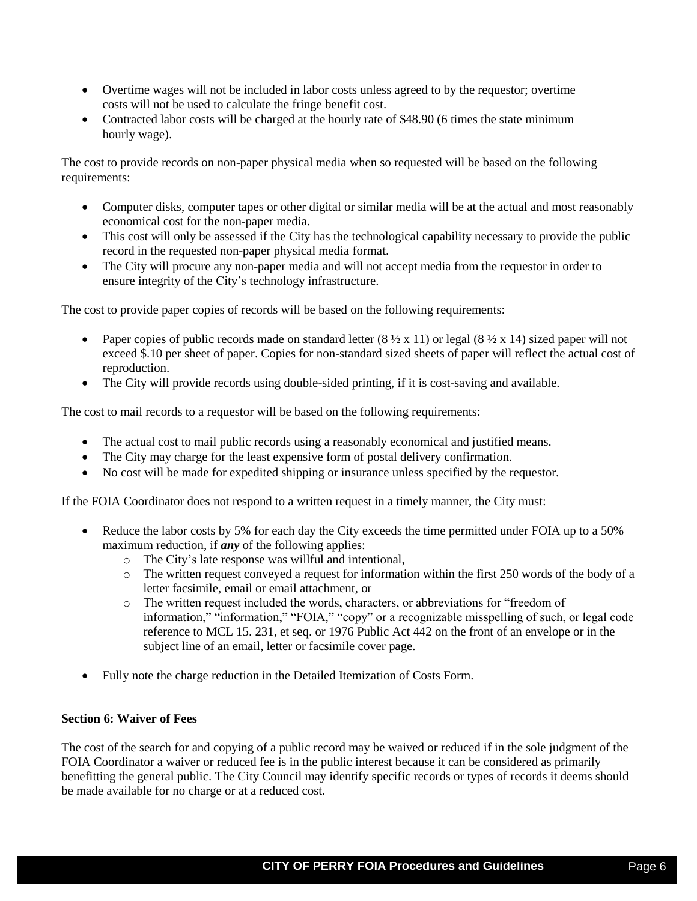- Overtime wages will not be included in labor costs unless agreed to by the requestor; overtime costs will not be used to calculate the fringe benefit cost.
- Contracted labor costs will be charged at the hourly rate of \$48.90 (6 times the state minimum hourly wage).

The cost to provide records on non-paper physical media when so requested will be based on the following requirements:

- Computer disks, computer tapes or other digital or similar media will be at the actual and most reasonably economical cost for the non-paper media.
- This cost will only be assessed if the City has the technological capability necessary to provide the public record in the requested non-paper physical media format.
- The City will procure any non-paper media and will not accept media from the requestor in order to ensure integrity of the City's technology infrastructure.

The cost to provide paper copies of records will be based on the following requirements:

- Paper copies of public records made on standard letter  $(8 \frac{1}{2} \times 11)$  or legal  $(8 \frac{1}{2} \times 14)$  sized paper will not exceed \$.10 per sheet of paper. Copies for non-standard sized sheets of paper will reflect the actual cost of reproduction.
- The City will provide records using double-sided printing, if it is cost-saving and available.

The cost to mail records to a requestor will be based on the following requirements:

- The actual cost to mail public records using a reasonably economical and justified means.
- The City may charge for the least expensive form of postal delivery confirmation.
- No cost will be made for expedited shipping or insurance unless specified by the requestor.

If the FOIA Coordinator does not respond to a written request in a timely manner, the City must:

- Reduce the labor costs by 5% for each day the City exceeds the time permitted under FOIA up to a 50% maximum reduction, if *any* of the following applies:
	- o The City's late response was willful and intentional,
	- o The written request conveyed a request for information within the first 250 words of the body of a letter facsimile, email or email attachment, or
	- o The written request included the words, characters, or abbreviations for "freedom of information," "information," "FOIA," "copy" or a recognizable misspelling of such, or legal code reference to MCL 15. 231, et seq. or 1976 Public Act 442 on the front of an envelope or in the subject line of an email, letter or facsimile cover page.
- Fully note the charge reduction in the Detailed Itemization of Costs Form.

## **Section 6: Waiver of Fees**

The cost of the search for and copying of a public record may be waived or reduced if in the sole judgment of the FOIA Coordinator a waiver or reduced fee is in the public interest because it can be considered as primarily benefitting the general public. The City Council may identify specific records or types of records it deems should be made available for no charge or at a reduced cost.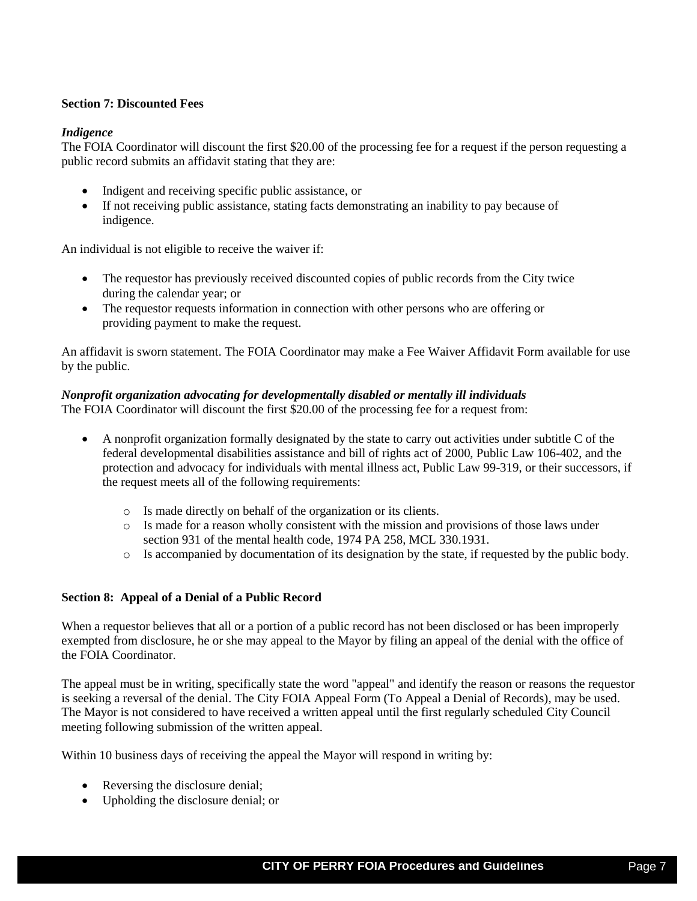## **Section 7: Discounted Fees**

## *Indigence*

The FOIA Coordinator will discount the first \$20.00 of the processing fee for a request if the person requesting a public record submits an affidavit stating that they are:

- Indigent and receiving specific public assistance, or
- If not receiving public assistance, stating facts demonstrating an inability to pay because of indigence.

An individual is not eligible to receive the waiver if:

- The requestor has previously received discounted copies of public records from the City twice during the calendar year; or
- The requestor requests information in connection with other persons who are offering or providing payment to make the request.

An affidavit is sworn statement. The FOIA Coordinator may make a Fee Waiver Affidavit Form available for use by the public.

# *Nonprofit organization advocating for developmentally disabled or mentally ill individuals*

The FOIA Coordinator will discount the first \$20.00 of the processing fee for a request from:

- A nonprofit organization formally designated by the state to carry out activities under subtitle C of the federal developmental disabilities assistance and bill of rights act of 2000, Public Law 106-402, and the protection and advocacy for individuals with mental illness act, Public Law 99-319, or their successors, if the request meets all of the following requirements:
	- o Is made directly on behalf of the organization or its clients.
	- o Is made for a reason wholly consistent with the mission and provisions of those laws under section 931 of the mental health code, 1974 PA 258, MCL 330.1931.
	- o Is accompanied by documentation of its designation by the state, if requested by the public body.

# **Section 8: Appeal of a Denial of a Public Record**

When a requestor believes that all or a portion of a public record has not been disclosed or has been improperly exempted from disclosure, he or she may appeal to the Mayor by filing an appeal of the denial with the office of the FOIA Coordinator.

The appeal must be in writing, specifically state the word "appeal" and identify the reason or reasons the requestor is seeking a reversal of the denial. The City FOIA Appeal Form (To Appeal a Denial of Records), may be used. The Mayor is not considered to have received a written appeal until the first regularly scheduled City Council meeting following submission of the written appeal.

Within 10 business days of receiving the appeal the Mayor will respond in writing by:

- Reversing the disclosure denial;
- Upholding the disclosure denial; or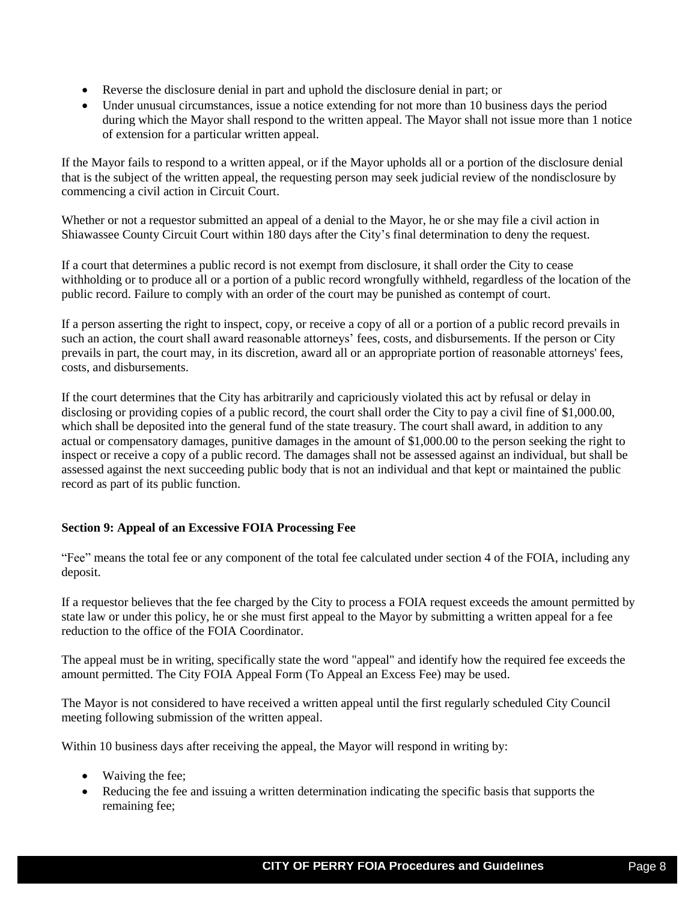- Reverse the disclosure denial in part and uphold the disclosure denial in part; or
- Under unusual circumstances, issue a notice extending for not more than 10 business days the period during which the Mayor shall respond to the written appeal. The Mayor shall not issue more than 1 notice of extension for a particular written appeal.

If the Mayor fails to respond to a written appeal, or if the Mayor upholds all or a portion of the disclosure denial that is the subject of the written appeal, the requesting person may seek judicial review of the nondisclosure by commencing a civil action in Circuit Court.

Whether or not a requestor submitted an appeal of a denial to the Mayor, he or she may file a civil action in Shiawassee County Circuit Court within 180 days after the City's final determination to deny the request.

If a court that determines a public record is not exempt from disclosure, it shall order the City to cease withholding or to produce all or a portion of a public record wrongfully withheld, regardless of the location of the public record. Failure to comply with an order of the court may be punished as contempt of court.

If a person asserting the right to inspect, copy, or receive a copy of all or a portion of a public record prevails in such an action, the court shall award reasonable attorneys' fees, costs, and disbursements. If the person or City prevails in part, the court may, in its discretion, award all or an appropriate portion of reasonable attorneys' fees, costs, and disbursements.

If the court determines that the City has arbitrarily and capriciously violated this act by refusal or delay in disclosing or providing copies of a public record, the court shall order the City to pay a civil fine of \$1,000.00, which shall be deposited into the general fund of the state treasury. The court shall award, in addition to any actual or compensatory damages, punitive damages in the amount of \$1,000.00 to the person seeking the right to inspect or receive a copy of a public record. The damages shall not be assessed against an individual, but shall be assessed against the next succeeding public body that is not an individual and that kept or maintained the public record as part of its public function.

# **Section 9: Appeal of an Excessive FOIA Processing Fee**

"Fee" means the total fee or any component of the total fee calculated under section 4 of the FOIA, including any deposit.

If a requestor believes that the fee charged by the City to process a FOIA request exceeds the amount permitted by state law or under this policy, he or she must first appeal to the Mayor by submitting a written appeal for a fee reduction to the office of the FOIA Coordinator.

The appeal must be in writing, specifically state the word "appeal" and identify how the required fee exceeds the amount permitted. The City FOIA Appeal Form (To Appeal an Excess Fee) may be used.

The Mayor is not considered to have received a written appeal until the first regularly scheduled City Council meeting following submission of the written appeal.

Within 10 business days after receiving the appeal, the Mayor will respond in writing by:

- Waiving the fee;
- Reducing the fee and issuing a written determination indicating the specific basis that supports the remaining fee;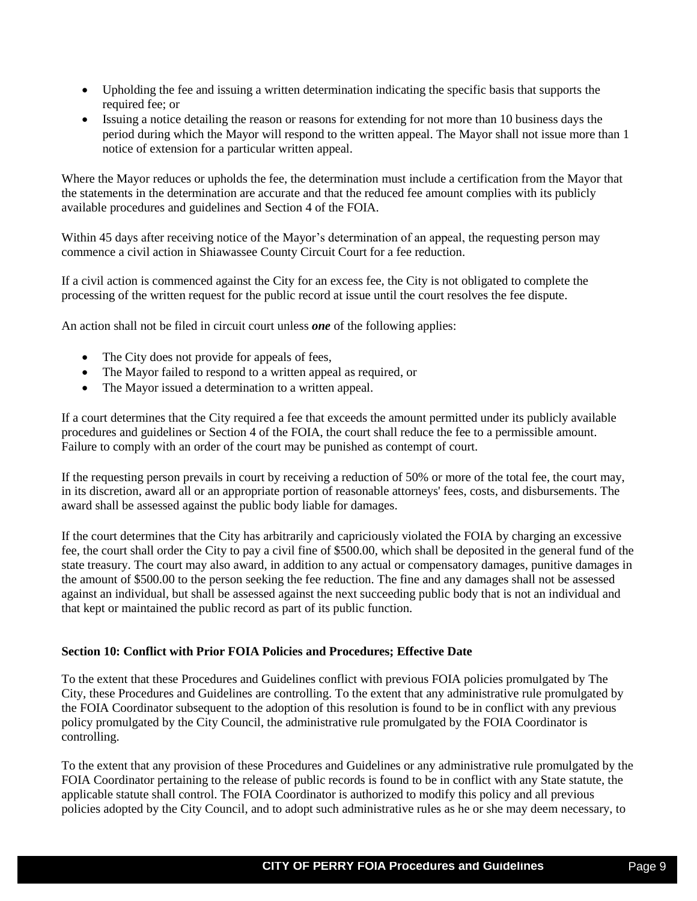- Upholding the fee and issuing a written determination indicating the specific basis that supports the required fee; or
- Issuing a notice detailing the reason or reasons for extending for not more than 10 business days the period during which the Mayor will respond to the written appeal. The Mayor shall not issue more than 1 notice of extension for a particular written appeal.

Where the Mayor reduces or upholds the fee, the determination must include a certification from the Mayor that the statements in the determination are accurate and that the reduced fee amount complies with its publicly available procedures and guidelines and Section 4 of the FOIA.

Within 45 days after receiving notice of the Mayor's determination of an appeal, the requesting person may commence a civil action in Shiawassee County Circuit Court for a fee reduction.

If a civil action is commenced against the City for an excess fee, the City is not obligated to complete the processing of the written request for the public record at issue until the court resolves the fee dispute.

An action shall not be filed in circuit court unless *one* of the following applies:

- The City does not provide for appeals of fees,
- The Mayor failed to respond to a written appeal as required, or
- The Mayor issued a determination to a written appeal.

If a court determines that the City required a fee that exceeds the amount permitted under its publicly available procedures and guidelines or Section 4 of the FOIA, the court shall reduce the fee to a permissible amount. Failure to comply with an order of the court may be punished as contempt of court.

If the requesting person prevails in court by receiving a reduction of 50% or more of the total fee, the court may, in its discretion, award all or an appropriate portion of reasonable attorneys' fees, costs, and disbursements. The award shall be assessed against the public body liable for damages.

If the court determines that the City has arbitrarily and capriciously violated the FOIA by charging an excessive fee, the court shall order the City to pay a civil fine of \$500.00, which shall be deposited in the general fund of the state treasury. The court may also award, in addition to any actual or compensatory damages, punitive damages in the amount of \$500.00 to the person seeking the fee reduction. The fine and any damages shall not be assessed against an individual, but shall be assessed against the next succeeding public body that is not an individual and that kept or maintained the public record as part of its public function.

## **Section 10: Conflict with Prior FOIA Policies and Procedures; Effective Date**

To the extent that these Procedures and Guidelines conflict with previous FOIA policies promulgated by The City, these Procedures and Guidelines are controlling. To the extent that any administrative rule promulgated by the FOIA Coordinator subsequent to the adoption of this resolution is found to be in conflict with any previous policy promulgated by the City Council, the administrative rule promulgated by the FOIA Coordinator is controlling.

To the extent that any provision of these Procedures and Guidelines or any administrative rule promulgated by the FOIA Coordinator pertaining to the release of public records is found to be in conflict with any State statute, the applicable statute shall control. The FOIA Coordinator is authorized to modify this policy and all previous policies adopted by the City Council, and to adopt such administrative rules as he or she may deem necessary, to